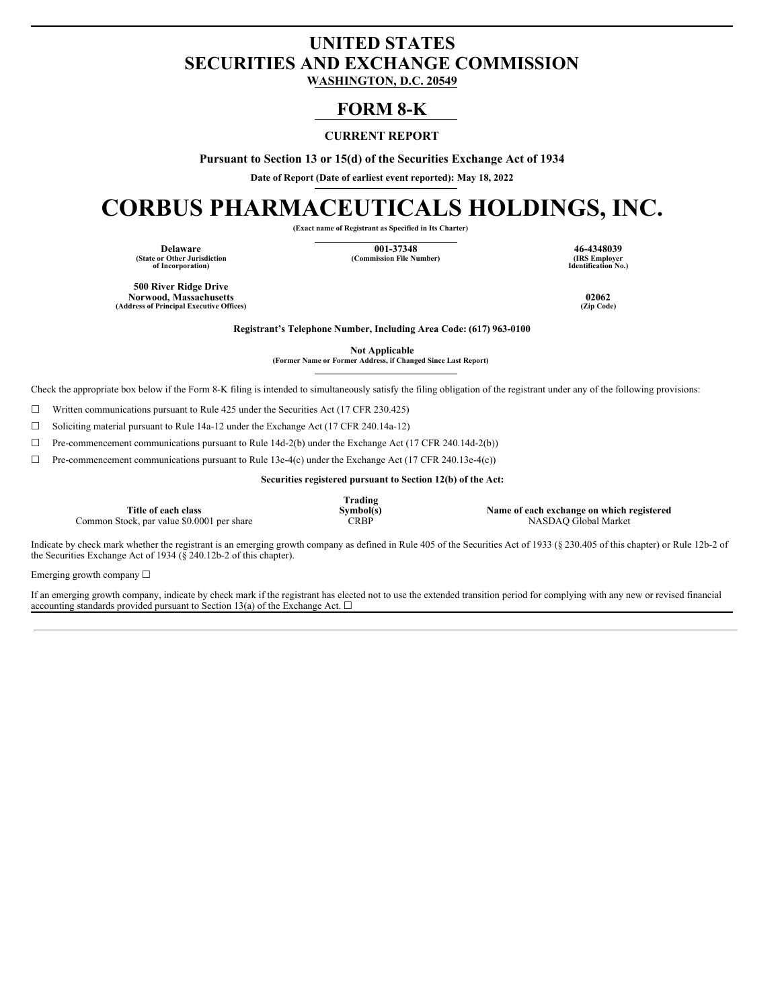## **UNITED STATES SECURITIES AND EXCHANGE COMMISSION**

**WASHINGTON, D.C. 20549**

### **FORM 8-K**

### **CURRENT REPORT**

**Pursuant to Section 13 or 15(d) of the Securities Exchange Act of 1934**

**Date of Report (Date of earliest event reported): May 18, 2022**

# **CORBUS PHARMACEUTICALS HOLDINGS, INC.**

**(Exact name of Registrant as Specified in Its Charter)**

**(State or Other Jurisdiction of Incorporation)**

**Delaware 001-37348 46-4348039**  $(Commission File Number)$ 

**Identification No.)**

**500 River Ridge Drive Norwood, Massachusetts 02062 (Address of Principal Executive Offices) (Zip Code)**

**Registrant's Telephone Number, Including Area Code: (617) 963-0100**

**Not Applicable**

**(Former Name or Former Address, if Changed Since Last Report)**

Check the appropriate box below if the Form 8-K filing is intended to simultaneously satisfy the filing obligation of the registrant under any of the following provisions:

 $\Box$  Written communications pursuant to Rule 425 under the Securities Act (17 CFR 230.425)

☐ Soliciting material pursuant to Rule 14a-12 under the Exchange Act (17 CFR 240.14a-12)

☐ Pre-commencement communications pursuant to Rule 14d-2(b) under the Exchange Act (17 CFR 240.14d-2(b))

☐ Pre-commencement communications pursuant to Rule 13e-4(c) under the Exchange Act (17 CFR 240.13e-4(c))

**Securities registered pursuant to Section 12(b) of the Act:**

**Title of each class** Common Stock, par value \$0.0001 per share **Trading**

**Symbol(s) Name of each exchange on which registered**

Indicate by check mark whether the registrant is an emerging growth company as defined in Rule 405 of the Securities Act of 1933 (§ 230.405 of this chapter) or Rule 12b-2 of the Securities Exchange Act of 1934 ( $\S$  240.12b-2 of this chapter).

Emerging growth company ☐

If an emerging growth company, indicate by check mark if the registrant has elected not to use the extended transition period for complying with any new or revised financial accounting standards provided pursuant to Section 13(a) of the Exchange Act.  $\square$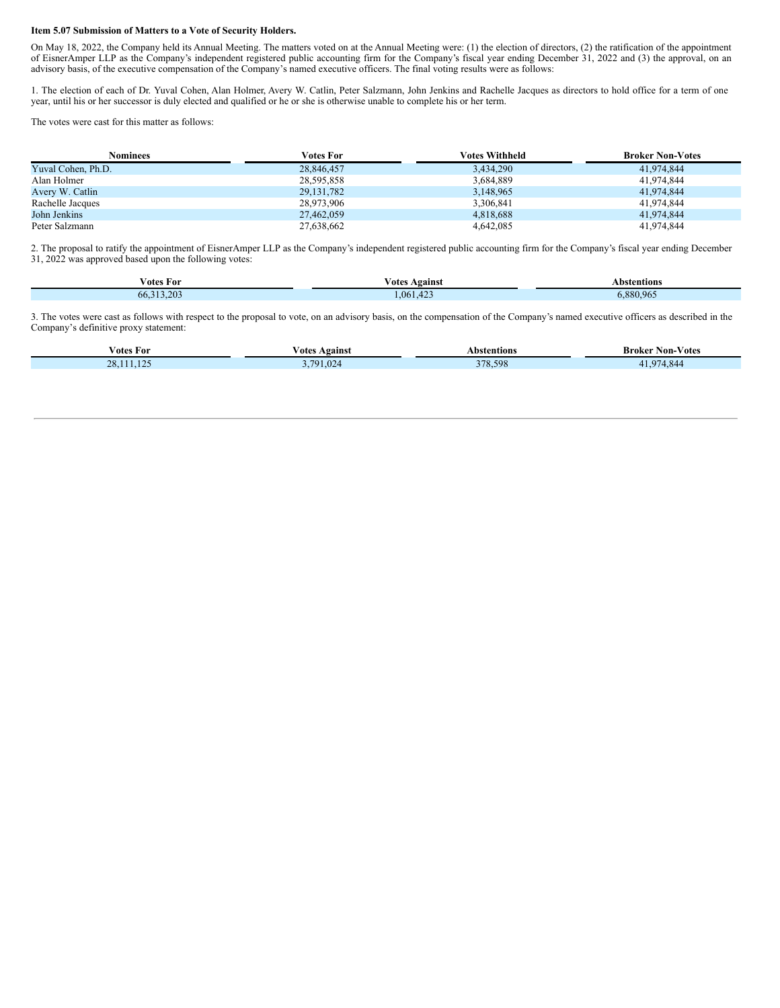#### **Item 5.07 Submission of Matters to a Vote of Security Holders.**

On May 18, 2022, the Company held its Annual Meeting. The matters voted on at the Annual Meeting were: (1) the election of directors, (2) the ratification of the appointment of EisnerAmper LLP as the Company's independent registered public accounting firm for the Company's fiscal year ending December 31, 2022 and (3) the approval, on an advisory basis, of the executive compensation of the Company's named executive officers. The final voting results were as follows:

1. The election of each of Dr. Yuval Cohen, Alan Holmer, Avery W. Catlin, Peter Salzmann, John Jenkins and Rachelle Jacques as directors to hold office for a term of one year, until his or her successor is duly elected and qualified or he or she is otherwise unable to complete his or her term.

The votes were cast for this matter as follows:

| <b>Nominees</b>    | <b>Votes For</b> | Votes Withheld | <b>Broker Non-Votes</b> |
|--------------------|------------------|----------------|-------------------------|
| Yuval Cohen, Ph.D. | 28,846,457       | 3,434,290      | 41.974.844              |
| Alan Holmer        | 28,595,858       | 3,684,889      | 41.974.844              |
| Avery W. Catlin    | 29, 131, 782     | 3,148,965      | 41.974.844              |
| Rachelle Jacques   | 28,973,906       | 3,306,841      | 41.974.844              |
| John Jenkins       | 27,462,059       | 4,818,688      | 41.974.844              |
| Peter Salzmann     | 27,638,662       | 4,642,085      | 41.974.844              |

2. The proposal to ratify the appointment of EisnerAmper LLP as the Company's independent registered public accounting firm for the Company's fiscal year ending December 31, 2022 was approved based upon the following votes:

| Votes For    | - -<br>∕ otes<br>Against | Abstentions |  |
|--------------|--------------------------|-------------|--|
| 66, 313, 203 | $\sqrt{2}$<br>.061.42    | 5,880,965   |  |

3. The votes were cast as follows with respect to the proposal to vote, on an advisory basis, on the compensation of the Company's named executive officers as described in the Company's definitive proxy statement:

| Votes For        | . .<br>∕ otes<br>Against | `bstentions | Votes<br>Broker<br>Non- |
|------------------|--------------------------|-------------|-------------------------|
| $1 \cap L$<br>no | 1701<br>1.024            | 378.598     | $\sim$<br>T.V<br>.      |